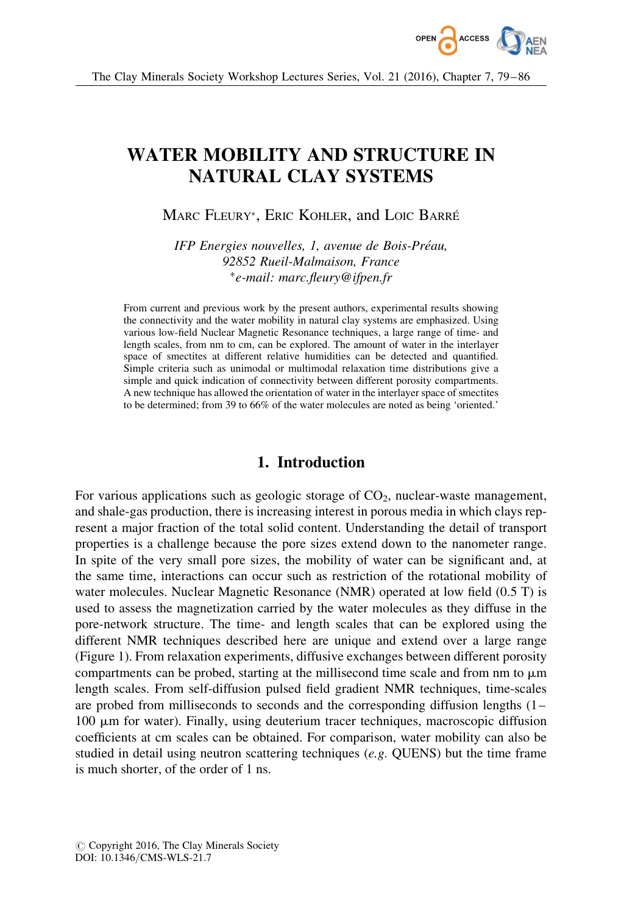

# WATER MOBILITY AND STRUCTURE IN NATURAL CLAY SYSTEMS

Marc Fleury\*, Eric Kohler, and Loic Barré

IFP Energies nouvelles, 1, avenue de Bois-Préau, 92852 Rueil-Malmaison, France -e-mail: marc.fleury@ifpen.fr

From current and previous work by the present authors, experimental results showing the connectivity and the water mobility in natural clay systems are emphasized. Using various low-field Nuclear Magnetic Resonance techniques, a large range of time- and length scales, from nm to cm, can be explored. The amount of water in the interlayer space of smectites at different relative humidities can be detected and quantified. Simple criteria such as unimodal or multimodal relaxation time distributions give a simple and quick indication of connectivity between different porosity compartments. A new technique has allowed the orientation of water in the interlayer space of smectites to be determined; from 39 to 66% of the water molecules are noted as being 'oriented.'

## 1. Introduction

For various applications such as geologic storage of  $CO<sub>2</sub>$ , nuclear-waste management, and shale-gas production, there is increasing interest in porous media in which clays represent a major fraction of the total solid content. Understanding the detail of transport properties is a challenge because the pore sizes extend down to the nanometer range. In spite of the very small pore sizes, the mobility of water can be significant and, at the same time, interactions can occur such as restriction of the rotational mobility of water molecules. Nuclear Magnetic Resonance (NMR) operated at low field (0.5 T) is used to assess the magnetization carried by the water molecules as they diffuse in the pore-network structure. The time- and length scales that can be explored using the different NMR techniques described here are unique and extend over a large range (Figure 1). From relaxation experiments, diffusive exchanges between different porosity compartments can be probed, starting at the millisecond time scale and from nm to  $\mu$ m length scales. From self-diffusion pulsed field gradient NMR techniques, time-scales are probed from milliseconds to seconds and the corresponding diffusion lengths (1–  $100 \mu m$  for water). Finally, using deuterium tracer techniques, macroscopic diffusion coefficients at cm scales can be obtained. For comparison, water mobility can also be studied in detail using neutron scattering techniques (e.g. QUENS) but the time frame is much shorter, of the order of 1 ns.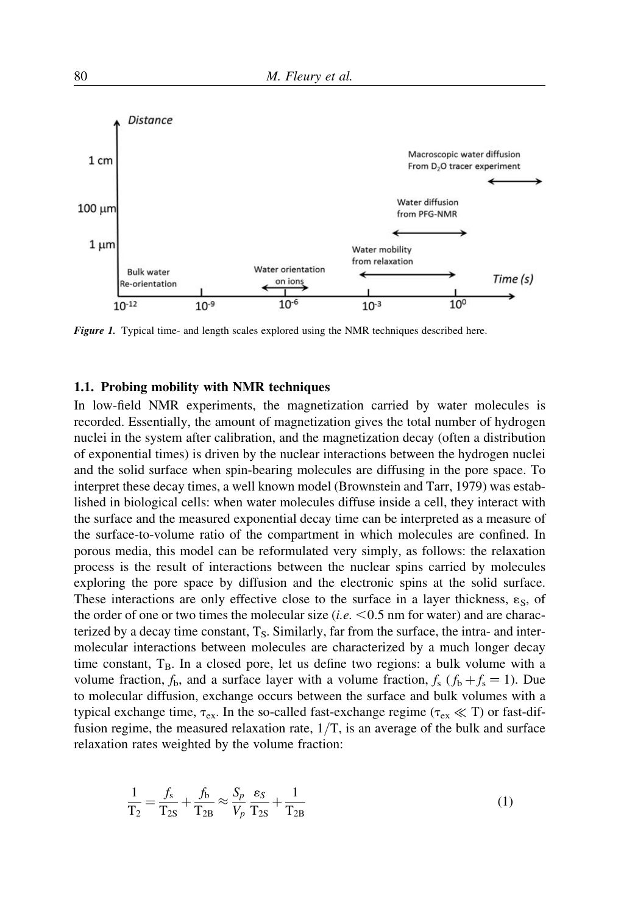

Figure 1. Typical time- and length scales explored using the NMR techniques described here.

#### 1.1. Probing mobility with NMR techniques

In low-field NMR experiments, the magnetization carried by water molecules is recorded. Essentially, the amount of magnetization gives the total number of hydrogen nuclei in the system after calibration, and the magnetization decay (often a distribution of exponential times) is driven by the nuclear interactions between the hydrogen nuclei and the solid surface when spin-bearing molecules are diffusing in the pore space. To interpret these decay times, a well known model (Brownstein and Tarr, 1979) was established in biological cells: when water molecules diffuse inside a cell, they interact with the surface and the measured exponential decay time can be interpreted as a measure of the surface-to-volume ratio of the compartment in which molecules are confined. In porous media, this model can be reformulated very simply, as follows: the relaxation process is the result of interactions between the nuclear spins carried by molecules exploring the pore space by diffusion and the electronic spins at the solid surface. These interactions are only effective close to the surface in a layer thickness,  $\varepsilon_{\rm S}$ , of the order of one or two times the molecular size  $(i.e. < 0.5$  nm for water) and are characterized by a decay time constant,  $T_S$ . Similarly, far from the surface, the intra- and intermolecular interactions between molecules are characterized by a much longer decay time constant,  $T_B$ . In a closed pore, let us define two regions: a bulk volume with a volume fraction,  $f_b$ , and a surface layer with a volume fraction,  $f_s$  ( $f_b + f_s = 1$ ). Due to molecular diffusion, exchange occurs between the surface and bulk volumes with a typical exchange time,  $\tau_{ex}$ . In the so-called fast-exchange regime ( $\tau_{ex} \ll T$ ) or fast-diffusion regime, the measured relaxation rate,  $1/T$ , is an average of the bulk and surface relaxation rates weighted by the volume fraction:

$$
\frac{1}{T_2} = \frac{f_s}{T_{2S}} + \frac{f_b}{T_{2B}} \approx \frac{S_p}{V_p} \frac{\varepsilon_S}{T_{2S}} + \frac{1}{T_{2B}}
$$
(1)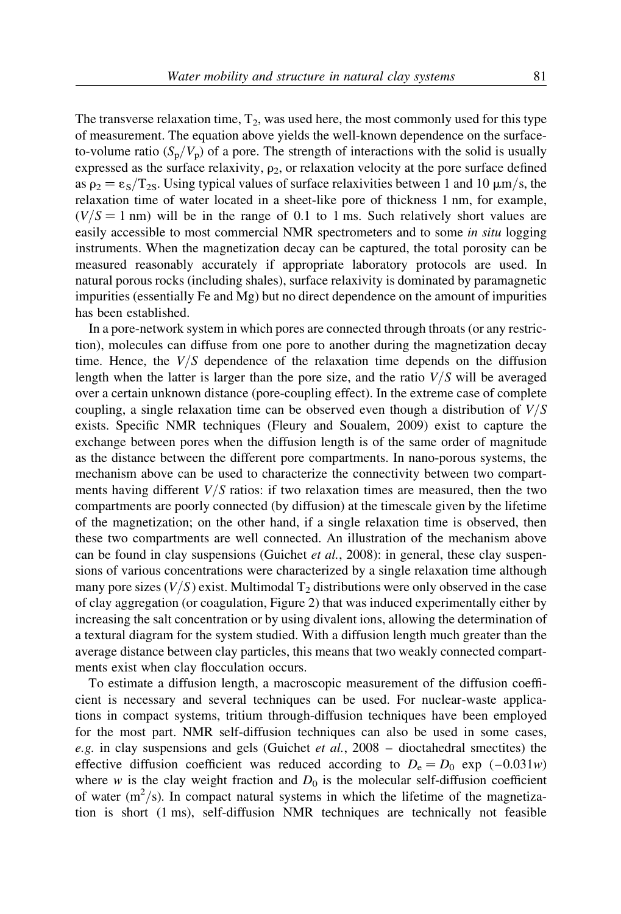The transverse relaxation time,  $T_2$ , was used here, the most commonly used for this type of measurement. The equation above yields the well-known dependence on the surfaceto-volume ratio  $(S_p/V_p)$  of a pore. The strength of interactions with the solid is usually expressed as the surface relaxivity,  $\rho_2$ , or relaxation velocity at the pore surface defined as  $\rho_2 = \varepsilon_S/T_{2S}$ . Using typical values of surface relaxivities between 1 and 10  $\mu$ m/s, the relaxation time of water located in a sheet-like pore of thickness 1 nm, for example,  $(V/S = 1$  nm) will be in the range of 0.1 to 1 ms. Such relatively short values are easily accessible to most commercial NMR spectrometers and to some in situ logging instruments. When the magnetization decay can be captured, the total porosity can be measured reasonably accurately if appropriate laboratory protocols are used. In natural porous rocks (including shales), surface relaxivity is dominated by paramagnetic impurities (essentially Fe and Mg) but no direct dependence on the amount of impurities has been established.

In a pore-network system in which pores are connected through throats (or any restriction), molecules can diffuse from one pore to another during the magnetization decay time. Hence, the  $V/S$  dependence of the relaxation time depends on the diffusion length when the latter is larger than the pore size, and the ratio  $V/S$  will be averaged over a certain unknown distance (pore-coupling effect). In the extreme case of complete coupling, a single relaxation time can be observed even though a distribution of  $V/S$ exists. Specific NMR techniques (Fleury and Soualem, 2009) exist to capture the exchange between pores when the diffusion length is of the same order of magnitude as the distance between the different pore compartments. In nano-porous systems, the mechanism above can be used to characterize the connectivity between two compartments having different  $V/S$  ratios: if two relaxation times are measured, then the two compartments are poorly connected (by diffusion) at the timescale given by the lifetime of the magnetization; on the other hand, if a single relaxation time is observed, then these two compartments are well connected. An illustration of the mechanism above can be found in clay suspensions (Guichet *et al.*, 2008): in general, these clay suspensions of various concentrations were characterized by a single relaxation time although many pore sizes  $(V/S)$  exist. Multimodal  $T_2$  distributions were only observed in the case of clay aggregation (or coagulation, Figure 2) that was induced experimentally either by increasing the salt concentration or by using divalent ions, allowing the determination of a textural diagram for the system studied. With a diffusion length much greater than the average distance between clay particles, this means that two weakly connected compartments exist when clay flocculation occurs.

To estimate a diffusion length, a macroscopic measurement of the diffusion coefficient is necessary and several techniques can be used. For nuclear-waste applications in compact systems, tritium through-diffusion techniques have been employed for the most part. NMR self-diffusion techniques can also be used in some cases, e.g. in clay suspensions and gels (Guichet et al.,  $2008 -$  dioctahedral smectites) the effective diffusion coefficient was reduced according to  $D_e = D_0$  exp (–0.031w) where w is the clay weight fraction and  $D_0$  is the molecular self-diffusion coefficient of water  $(m^2/s)$ . In compact natural systems in which the lifetime of the magnetization is short (1 ms), self-diffusion NMR techniques are technically not feasible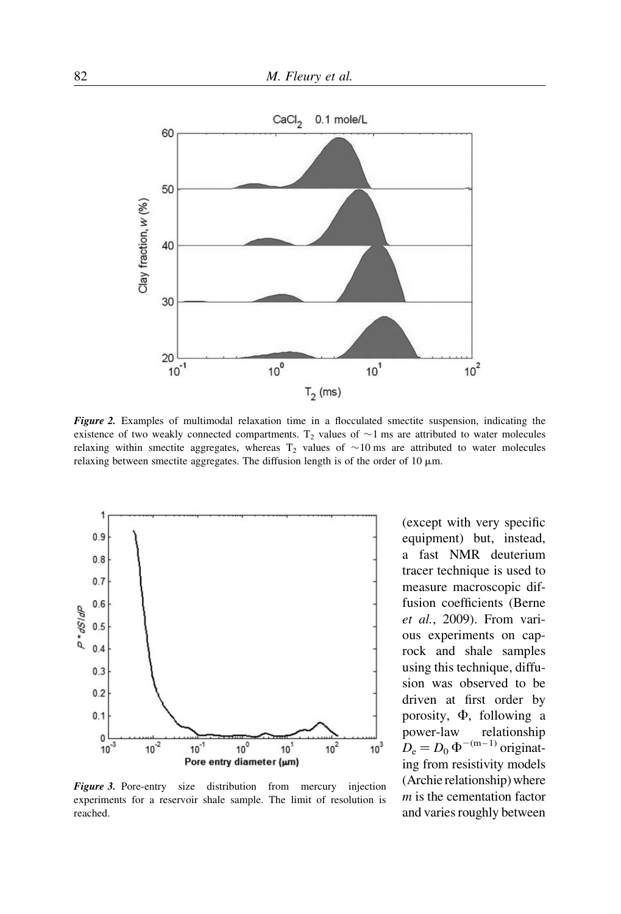

Figure 2. Examples of multimodal relaxation time in a flocculated smectite suspension, indicating the existence of two weakly connected compartments.  $T_2$  values of  $\sim$ 1 ms are attributed to water molecules relaxing within smectite aggregates, whereas  $T_2$  values of  $\sim 10$  ms are attributed to water molecules relaxing between smectite aggregates. The diffusion length is of the order of  $10 \mu m$ .



Figure 3. Pore-entry size distribution from mercury injection experiments for a reservoir shale sample. The limit of resolution is reached.

(except with very specific equipment) but, instead, a fast NMR deuterium tracer technique is used to measure macroscopic diffusion coefficients (Berne et al., 2009). From various experiments on caprock and shale samples using this technique, diffusion was observed to be driven at first order by porosity,  $\Phi$ , following a power-law relationship  $D_e = D_0 \Phi^{-(m-1)}$  originating from resistivity models (Archie relationship) where  $m$  is the cementation factor and varies roughly between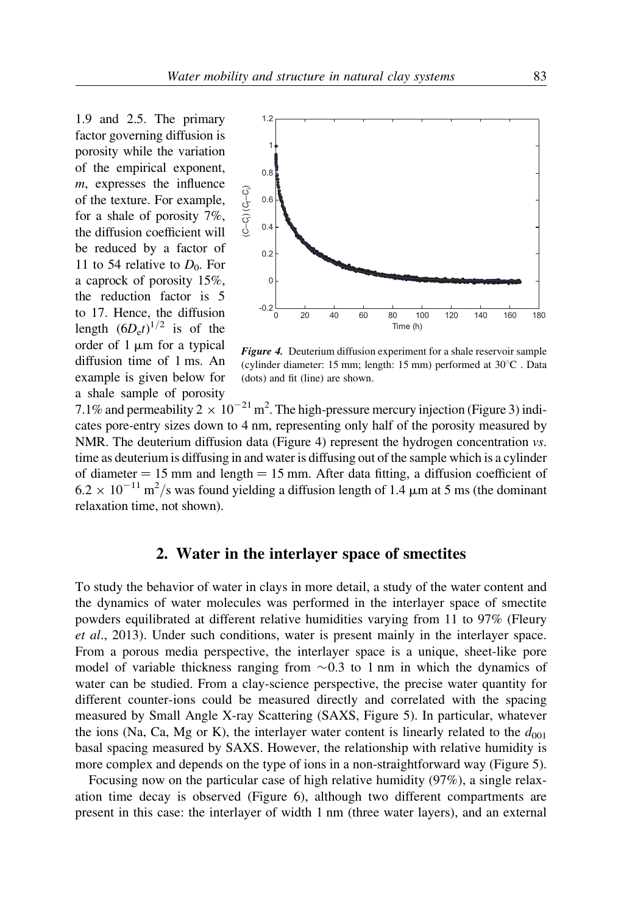1.9 and 2.5. The primary factor governing diffusion is porosity while the variation of the empirical exponent, m, expresses the influence of the texture. For example, for a shale of porosity 7%, the diffusion coefficient will be reduced by a factor of 11 to 54 relative to  $D_0$ . For a caprock of porosity 15%, the reduction factor is 5 to 17. Hence, the diffusion length  $(6D_e t)^{1/2}$  is of the order of  $1 \mu m$  for a typical diffusion time of 1 ms. An example is given below for a shale sample of porosity



Figure 4. Deuterium diffusion experiment for a shale reservoir sample (cylinder diameter: 15 mm; length: 15 mm) performed at  $30^{\circ}$ C. Data (dots) and fit (line) are shown.

7.1% and permeability 2  $\times 10^{-21}$  m<sup>2</sup>. The high-pressure mercury injection (Figure 3) indicates pore-entry sizes down to 4 nm, representing only half of the porosity measured by NMR. The deuterium diffusion data (Figure 4) represent the hydrogen concentration vs. time as deuterium is diffusing in and water is diffusing out of the sample which is a cylinder of diameter  $= 15$  mm and length  $= 15$  mm. After data fitting, a diffusion coefficient of  $6.2 \times 10^{-11}$  m<sup>2</sup>/s was found yielding a diffusion length of 1.4  $\mu$ m at 5 ms (the dominant relaxation time, not shown).

## 2. Water in the interlayer space of smectites

To study the behavior of water in clays in more detail, a study of the water content and the dynamics of water molecules was performed in the interlayer space of smectite powders equilibrated at different relative humidities varying from 11 to 97% (Fleury et al., 2013). Under such conditions, water is present mainly in the interlayer space. From a porous media perspective, the interlayer space is a unique, sheet-like pore model of variable thickness ranging from  $\sim 0.3$  to 1 nm in which the dynamics of water can be studied. From a clay-science perspective, the precise water quantity for different counter-ions could be measured directly and correlated with the spacing measured by Small Angle X-ray Scattering (SAXS, Figure 5). In particular, whatever the ions (Na, Ca, Mg or K), the interlayer water content is linearly related to the  $d_{001}$ basal spacing measured by SAXS. However, the relationship with relative humidity is more complex and depends on the type of ions in a non-straightforward way (Figure 5).

Focusing now on the particular case of high relative humidity (97%), a single relaxation time decay is observed (Figure 6), although two different compartments are present in this case: the interlayer of width 1 nm (three water layers), and an external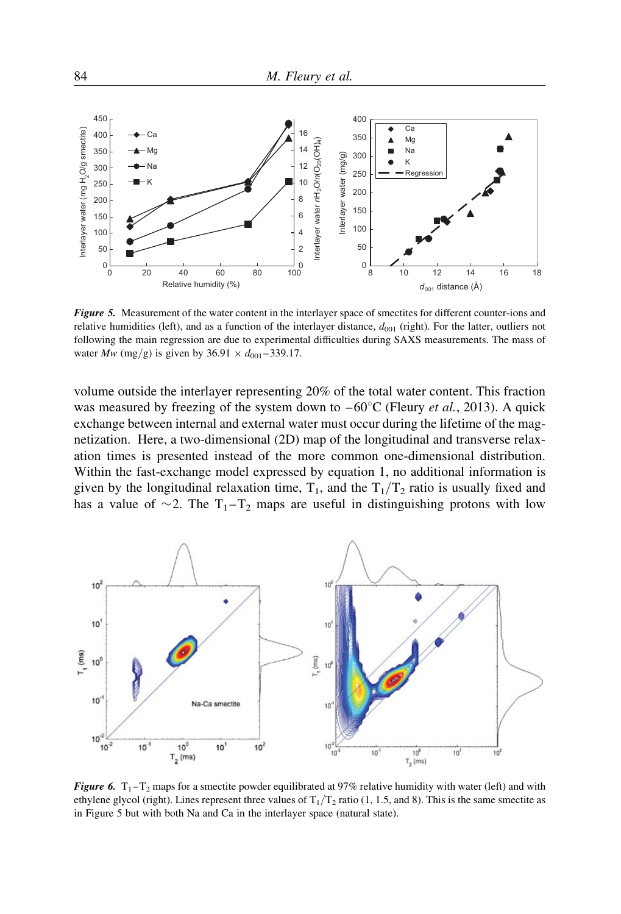

Figure 5. Measurement of the water content in the interlayer space of smectites for different counter-ions and relative humidities (left), and as a function of the interlayer distance,  $d_{001}$  (right). For the latter, outliers not following the main regression are due to experimental difficulties during SAXS measurements. The mass of water  $Mw$  (mg/g) is given by 36.91  $\times d_{001} - 339.17$ .

volume outside the interlayer representing 20% of the total water content. This fraction was measured by freezing of the system down to  $-60^{\circ}$ C (Fleury *et al.*, 2013). A quick exchange between internal and external water must occur during the lifetime of the magnetization. Here, a two-dimensional (2D) map of the longitudinal and transverse relaxation times is presented instead of the more common one-dimensional distribution. Within the fast-exchange model expressed by equation 1, no additional information is given by the longitudinal relaxation time,  $T_1$ , and the  $T_1/T_2$  ratio is usually fixed and has a value of  $\sim$ 2. The T<sub>1</sub>-T<sub>2</sub> maps are useful in distinguishing protons with low



**Figure 6.**  $T_1 - T_2$  maps for a smectite powder equilibrated at 97% relative humidity with water (left) and with ethylene glycol (right). Lines represent three values of  $T_1/T_2$  ratio (1, 1.5, and 8). This is the same smectite as in Figure 5 but with both Na and Ca in the interlayer space (natural state).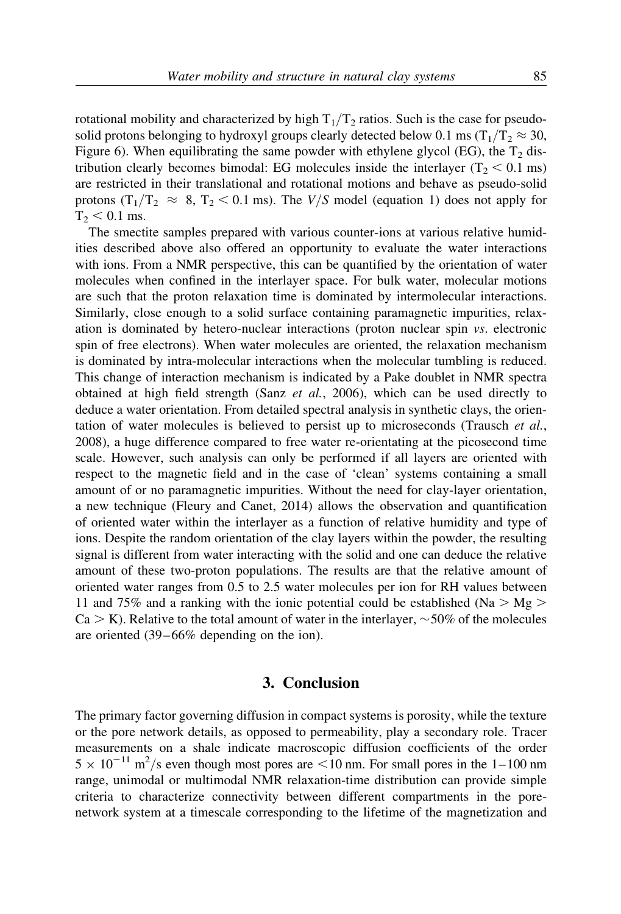rotational mobility and characterized by high  $T_1/T_2$  ratios. Such is the case for pseudosolid protons belonging to hydroxyl groups clearly detected below 0.1 ms  $(T_1/T_2 \approx 30,$ Figure 6). When equilibrating the same powder with ethylene glycol (EG), the  $T_2$  distribution clearly becomes bimodal: EG molecules inside the interlayer  $(T_2 < 0.1$  ms) are restricted in their translational and rotational motions and behave as pseudo-solid protons  $(T_1/T_2 \approx 8, T_2 < 0.1$  ms). The V/S model (equation 1) does not apply for  $T_2 < 0.1$  ms.

The smectite samples prepared with various counter-ions at various relative humidities described above also offered an opportunity to evaluate the water interactions with ions. From a NMR perspective, this can be quantified by the orientation of water molecules when confined in the interlayer space. For bulk water, molecular motions are such that the proton relaxation time is dominated by intermolecular interactions. Similarly, close enough to a solid surface containing paramagnetic impurities, relaxation is dominated by hetero-nuclear interactions (proton nuclear spin vs. electronic spin of free electrons). When water molecules are oriented, the relaxation mechanism is dominated by intra-molecular interactions when the molecular tumbling is reduced. This change of interaction mechanism is indicated by a Pake doublet in NMR spectra obtained at high field strength (Sanz  $et$  al., 2006), which can be used directly to deduce a water orientation. From detailed spectral analysis in synthetic clays, the orientation of water molecules is believed to persist up to microseconds (Trausch  $et al.,$ 2008), a huge difference compared to free water re-orientating at the picosecond time scale. However, such analysis can only be performed if all layers are oriented with respect to the magnetic field and in the case of 'clean' systems containing a small amount of or no paramagnetic impurities. Without the need for clay-layer orientation, a new technique (Fleury and Canet, 2014) allows the observation and quantification of oriented water within the interlayer as a function of relative humidity and type of ions. Despite the random orientation of the clay layers within the powder, the resulting signal is different from water interacting with the solid and one can deduce the relative amount of these two-proton populations. The results are that the relative amount of oriented water ranges from 0.5 to 2.5 water molecules per ion for RH values between 11 and 75% and a ranking with the ionic potential could be established (Na  $>$  Mg  $>$  $Ca > K$ ). Relative to the total amount of water in the interlayer,  $\sim$  50% of the molecules are oriented (39–66% depending on the ion).

#### 3. Conclusion

The primary factor governing diffusion in compact systems is porosity, while the texture or the pore network details, as opposed to permeability, play a secondary role. Tracer measurements on a shale indicate macroscopic diffusion coefficients of the order  $5 \times 10^{-11}$  m<sup>2</sup>/s even though most pores are <10 nm. For small pores in the 1–100 nm range, unimodal or multimodal NMR relaxation-time distribution can provide simple criteria to characterize connectivity between different compartments in the porenetwork system at a timescale corresponding to the lifetime of the magnetization and